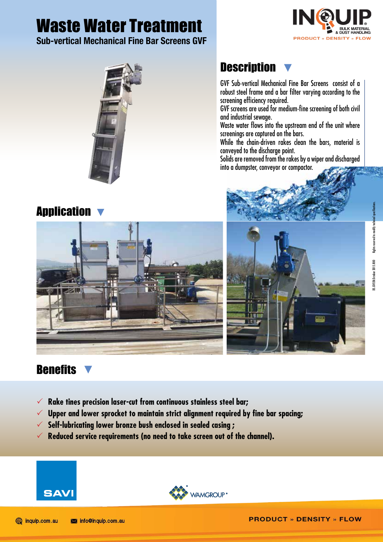# Waste Water Treatment

Sub-vertical Mechanical Fine Bar Screens GVF





### Application

## **Description**

GVF Sub-vertical Mechanical Fine Bar Screens consist of a robust steel frame and a bar filter varying according to the screening efficiency required.

GVF screens are used for medium-fine screening of both civil and industrial sewage.

Waste water flows into the upstream end of the unit where screenings are captured on the bars.

While the chain-driven rakes clean the bars, material is conveyed to the discharge point.

Solids are removed from the rakes by a wiper and discharged into a dumpster, conveyor or compactor.







### **Benefits**

- 3 **Rake tines precision laser-cut from continuous stainless steel bar;**
- 3 **Upper and lower sprocket to maintain strict alignment required by fine bar spacing;**
- 3 **Self-lubricating lower bronze bush enclosed in sealed casing ;**
- $\checkmark$  Reduced service reauirements (no need to take screen out of the channel).





DS.GVF.EN.October 2015.R00 Rights reserved to modify technical specifications.

S.GYF.EN.October 2015.ROO Rights reserved to modify techn

**PRODUCT » DENSITY » FLOW**